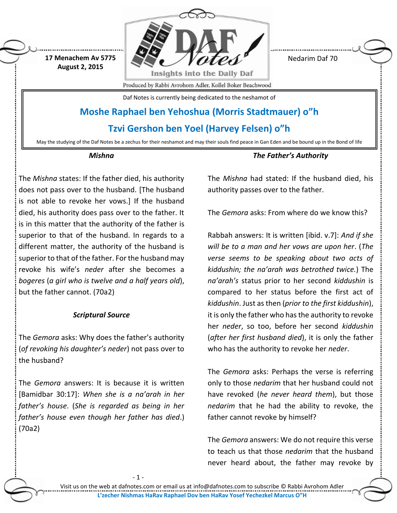

May the studying of the Daf Notes be a zechus for their neshamot and may their souls find peace in Gan Eden and be bound up in the Bond of life

#### *Mishna*

The *Mishna* states: If the father died, his authority does not pass over to the husband. [The husband is not able to revoke her vows.] If the husband died, his authority does pass over to the father. It is in this matter that the authority of the father is superior to that of the husband. In regards to a different matter, the authority of the husband is superior to that of the father. For the husband may revoke his wife's *neder* after she becomes a *bogeres* (*a girl who is twelve and a half years old*), but the father cannot. (70a2)

#### *Scriptural Source*

The *Gemora* asks: Why does the father's authority (*of revoking his daughter's neder*) not pass over to the husband?

The *Gemora* answers: It is because it is written [Bamidbar 30:17]: *When she is a na'arah in her father's house*. (*She is regarded as being in her father's house even though her father has died*.) (70a2)

- 1

*The Father's Authority*

The *Mishna* had stated: If the husband died, his authority passes over to the father.

The *Gemora* asks: From where do we know this?

Rabbah answers: It is written [ibid. v.7]: *And if she will be to a man and her vows are upon her*. (*The verse seems to be speaking about two acts of kiddushin; the na'arah was betrothed twice.*) The *na'arah's* status prior to her second *kiddushin* is compared to her status before the first act of *kiddushin*. Just as then (*prior to the first kiddushin*), it is only the father who has the authority to revoke her *neder*, so too, before her second *kiddushin* (*after her first husband died*), it is only the father who has the authority to revoke her *neder*.

The *Gemora* asks: Perhaps the verse is referring only to those *nedarim* that her husband could not have revoked (*he never heard them*), but those *nedarim* that he had the ability to revoke, the father cannot revoke by himself?

The *Gemora* answers: We do not require this verse to teach us that those *nedarim* that the husband never heard about, the father may revoke by

Visit us on the web at dafnotes.com or email us at [info@dafnotes.com](mailto:info@dafnotes.com) to subscribe © Rabbi Avrohom Adler **L'zecher Nishmas HaRav Raphael Dov ben HaRav Yosef Yechezkel Marcus O"H**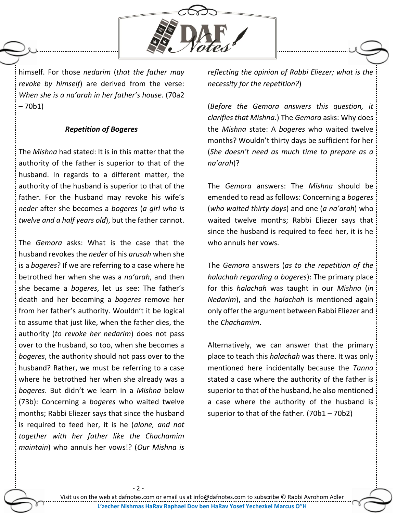

himself. For those *nedarim* (*that the father may revoke by himself*) are derived from the verse: *When she is a na'arah in her father's house*. (70a2 – 70b1)

### *Repetition of Bogeres*

The *Mishna* had stated: It is in this matter that the authority of the father is superior to that of the husband. In regards to a different matter, the authority of the husband is superior to that of the father. For the husband may revoke his wife's *neder* after she becomes a *bogeres* (*a girl who is twelve and a half years old*), but the father cannot.

The *Gemora* asks: What is the case that the husband revokes the *neder* of his *arusah* when she is a *bogeres*? If we are referring to a case where he betrothed her when she was a *na'arah*, and then she became a *bogeres*, let us see: The father's death and her becoming a *bogeres* remove her from her father's authority. Wouldn't it be logical to assume that just like, when the father dies, the authority (*to revoke her nedarim*) does not pass over to the husband, so too, when she becomes a *bogeres*, the authority should not pass over to the husband? Rather, we must be referring to a case where he betrothed her when she already was a *bogeres*. But didn't we learn in a *Mishna* below (73b): Concerning a *bogeres* who waited twelve months; Rabbi Eliezer says that since the husband is required to feed her, it is he (*alone, and not together with her father like the Chachamim maintain*) who annuls her vows!? (*Our Mishna is* 

- 2 -

*reflecting the opinion of Rabbi Eliezer; what is the necessity for the repetition?*)

(*Before the Gemora answers this question, it clarifies that Mishna.*) The *Gemora* asks: Why does the *Mishna* state: A *bogeres* who waited twelve months? Wouldn't thirty days be sufficient for her (*She doesn't need as much time to prepare as a na'arah*)?

The *Gemora* answers: The *Mishna* should be emended to read as follows: Concerning a *bogeres* (*who waited thirty days*) and one (*a na'arah*) who waited twelve months; Rabbi Eliezer says that since the husband is required to feed her, it is he who annuls her vows.

The *Gemora* answers (*as to the repetition of the halachah regarding a bogeres*): The primary place for this *halachah* was taught in our *Mishna* (*in Nedarim*), and the *halachah* is mentioned again only offer the argument between Rabbi Eliezer and the *Chachamim*.

Alternatively, we can answer that the primary place to teach this *halachah* was there. It was only mentioned here incidentally because the *Tanna* stated a case where the authority of the father is superior to that of the husband, he also mentioned a case where the authority of the husband is superior to that of the father. (70b1 – 70b2)